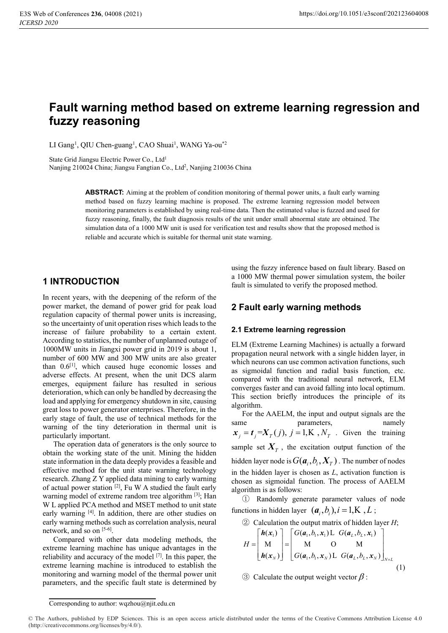# **Fault warning method based on extreme learning regression and fuzzy reasoning**

LI Gang<sup>1</sup>, QIU Chen-guang<sup>1</sup>, CAO Shuai<sup>1</sup>, WANG Ya-ou<sup>\*2</sup>

State Grid Jiangsu Electric Power Co., Ltd1

Nanjing 210024 China; Jiangsu Fangtian Co., Ltd<sup>2</sup>, Nanjing 210036 China

**ABSTRACT:** Aiming at the problem of condition monitoring of thermal power units, a fault early warning method based on fuzzy learning machine is proposed. The extreme learning regression model between monitoring parameters is established by using real-time data. Then the estimated value is fuzzed and used for fuzzy reasoning, finally, the fault diagnosis results of the unit under small abnormal state are obtained. The simulation data of a 1000 MW unit is used for verification test and results show that the proposed method is reliable and accurate which is suitable for thermal unit state warning.

# **1 INTRODUCTION**

In recent years, with the deepening of the reform of the power market, the demand of power grid for peak load regulation capacity of thermal power units is increasing, so the uncertainty of unit operation rises which leads to the increase of failure probability to a certain extent. According to statistics, the number of unplanned outage of 1000MW units in Jiangxi power grid in 2019 is about 1, number of 600 MW and 300 MW units are also greater than  $0.6$ <sup>[1]</sup>, which caused huge economic losses and adverse effects. At present, when the unit DCS alarm emerges, equipment failure has resulted in serious deterioration, which can only be handled by decreasing the load and applying for emergency shutdown in site, causing great loss to power generator enterprises. Therefore, in the early stage of fault, the use of technical methods for the warning of the tiny deterioration in thermal unit is particularly important.

The operation data of generators is the only source to obtain the working state of the unit. Mining the hidden state information in the data deeply provides a feasible and effective method for the unit state warning technology research. Zhang Z Y applied data mining to early warning of actual power station  $[2]$ , Fu W A studied the fault early warning model of extreme random tree algorithm [3]; Han W L applied PCA method and MSET method to unit state early warning [4]. In addition, there are other studies on early warning methods such as correlation analysis, neural network, and so on [5-6].

Compared with other data modeling methods, the extreme learning machine has unique advantages in the reliability and accuracy of the model [7]. In this paper, the extreme learning machine is introduced to establish the monitoring and warning model of the thermal power unit parameters, and the specific fault state is determined by

using the fuzzy inference based on fault library. Based on a 1000 MW thermal power simulation system, the boiler fault is simulated to verify the proposed method.

# **2 Fault early warning methods**

#### **2.1 Extreme learning regression**

ELM (Extreme Learning Machines) is actually a forward propagation neural network with a single hidden layer, in which neurons can use common activation functions, such as sigmoidal function and radial basis function, etc. compared with the traditional neural network, ELM converges faster and can avoid falling into local optimum. This section briefly introduces the principle of its algorithm.

For the AAELM, the input and output signals are the same parameters, namely  $x_i = t_i = X_T(j), i = 1, K, N_T$ . Given the training sample set  $X_T$ , the excitation output function of the hidden layer node is  $G(\boldsymbol{a}_i, b_i, \boldsymbol{X}_T)$ . The number of nodes in the hidden layer is chosen as *L*, activation function is chosen as sigmoidal function. The process of AAELM algorithm is as follows:

① Randomly generate parameter values of node functions in hidden layer  $(a_i, b_i)$ ,  $i = 1, K, L$ ;

2) Calculation the output matrix of hidden layer H;  
\n
$$
H = \begin{bmatrix} h(x_1) \\ M \\ h(x_N) \end{bmatrix} = \begin{bmatrix} G(a_1, b_1, x_1) \cup G(a_1, b_1, x_1) \\ M & O & M \\ G(a_1, b_1, x_N) \cup G(a_1, b_1, x_N) \end{bmatrix}_{N \times L}
$$

(1)

 $\circled{3}$  Calculate the output weight vector  $\beta$ :

Corresponding to author: wqzhou@njit.edu.cn

<sup>©</sup> The Authors, published by EDP Sciences. This is an open access article distributed under the terms of the Creative Commons Attribution License 4.0 (http://creativecommons.org/licenses/by/4.0/).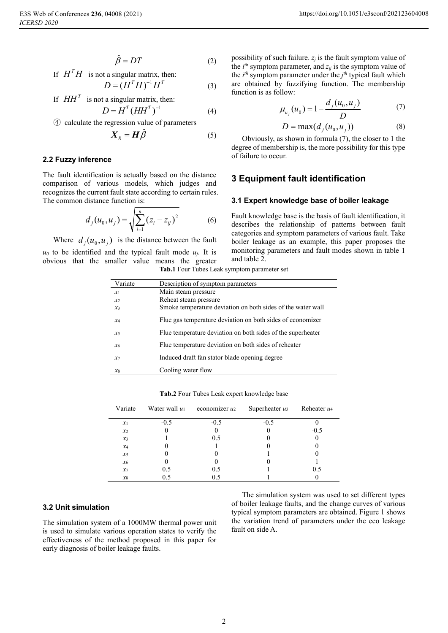$$
\hat{\beta} = DT \tag{2}
$$

If  $H<sup>T</sup>H$  is not a singular matrix, then:

$$
D = (HT H)-1 HT
$$
 (3)

If  $HH<sup>T</sup>$  is not a singular matrix, then:

$$
D = HT (HHT)-1
$$
 (4)

④ calculate the regression value of parameters

$$
\boldsymbol{X}_R = \boldsymbol{H}\hat{\boldsymbol{\beta}} \tag{5}
$$

#### **2.2 Fuzzy inference**

The fault identification is actually based on the distance comparison of various models, which judges and recognizes the current fault state according to certain rules. The common distance function is:

$$
d_j(u_0, u_j) = \sqrt{\sum_{i=1}^n (z_i - z_{ij})^2}
$$
 (6)

Where  $d_i(u_0, u_i)$  is the distance between the fault  $u_0$  to be identified and the typical fault mode  $u_i$ . It is obvious that the smaller value means the greater possibility of such failure.  $z_j$  is the fault symptom value of the  $i^{th}$  symptom parameter, and  $z_{ij}$  is the symptom value of the  $i^{th}$  symptom parameter under the  $j^{th}$  typical fault which are obtained by fuzzifying function. The membership function is as follow:

$$
\mu_{u_j}(u_0) = 1 - \frac{d_j(u_0, u_j)}{D} \tag{7}
$$

$$
D = \max(d_j(u_0, u_j))
$$
 (8)

Obviously, as shown in formula (7), the closer to 1 the degree of membership is, the more possibility for this type of failure to occur.

## **3 Equipment fault identification**

#### **3.1 Expert knowledge base of boiler leakage**

Fault knowledge base is the basis of fault identification, it describes the relationship of patterns between fault categories and symptom parameters of various fault. Take boiler leakage as an example, this paper proposes the monitoring parameters and fault modes shown in table 1 and table 2.

| Variate        | Description of symptom parameters                           |  |  |  |
|----------------|-------------------------------------------------------------|--|--|--|
| $x_1$          | Main steam pressure                                         |  |  |  |
| $\mathcal{X}2$ | Reheat steam pressure                                       |  |  |  |
| $x_3$          | Smoke temperature deviation on both sides of the water wall |  |  |  |
| $x_4$          | Flue gas temperature deviation on both sides of economizer  |  |  |  |
| $x_{5}$        | Flue temperature deviation on both sides of the superheater |  |  |  |
| $x_{6}$        | Flue temperature deviation on both sides of reheater        |  |  |  |
| $x_7$          | Induced draft fan stator blade opening degree               |  |  |  |
| $x_8$          | Cooling water flow                                          |  |  |  |

**Tab.1** Four Tubes Leak symptom parameter set

**Tab.2** Four Tubes Leak expert knowledge base

| Variate | Water wall $u_1$ | economizer $u_2$ | Superheater $u_3$ | Reheater u <sub>4</sub> |
|---------|------------------|------------------|-------------------|-------------------------|
| $x_1$   | $-0.5$           | $-0.5$           | $-0.5$            |                         |
| $x_2$   |                  |                  |                   | $-0.5$                  |
| $x_3$   |                  | 0.5              |                   |                         |
| $x_4$   |                  |                  |                   |                         |
| $x_5$   |                  |                  |                   |                         |
| $x_{6}$ |                  |                  |                   |                         |
| $x_7$   | 0.5              | 0.5              |                   | 0.5                     |
| $x_8$   | 0.5              | 0.5              |                   |                         |

#### **3.2 Unit simulation**

The simulation system of a 1000MW thermal power unit is used to simulate various operation states to verify the effectiveness of the method proposed in this paper for early diagnosis of boiler leakage faults.

The simulation system was used to set different types of boiler leakage faults, and the change curves of various typical symptom parameters are obtained. Figure 1 shows the variation trend of parameters under the eco leakage fault on side A.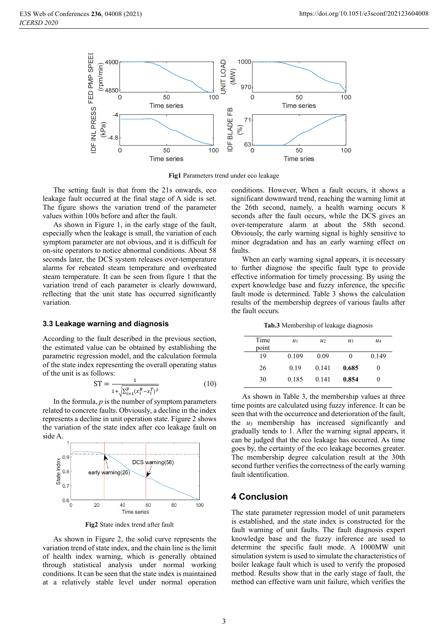

**Fig1** Parameters trend under eco leakage

The setting fault is that from the 21s onwards, eco leakage fault occurred at the final stage of A side is set. The figure shows the variation trend of the parameter values within 100s before and after the fault.

As shown in Figure 1, in the early stage of the fault, especially when the leakage is small, the variation of each symptom parameter are not obvious, and it is difficult for on-site operators to notice abnormal conditions. About 58 seconds later, the DCS system releases over-temperature alarms for reheated steam temperature and overheated steam temperature. It can be seen from figure 1 that the variation trend of each parameter is clearly downward, reflecting that the unit state has occurred significantly variation.

#### **3.3 Leakage warning and diagnosis**

According to the fault described in the previous section, the estimated value can be obtained by establishing the parametric regression model, and the calculation formula of the state index representing the overall operating status of the unit is as follows:

$$
ST = \frac{1}{1 + \sqrt{\sum_{i=1}^{p} (x_i^R - x_i^T)^2}}
$$
(10)

In the formula,  $p$  is the number of symptom parameters related to concrete faults. Obviously, a decline in the index represents a decline in unit operation state. Figure 2 shows the variation of the state index after eco leakage fault on side A.



**Fig2** State index trend after fault

As shown in Figure 2, the solid curve represents the variation trend of state index, and the chain line is the limit of health index warning, which is generally obtained through statistical analysis under normal working conditions. It can be seen that the state index is maintained at a relatively stable level under normal operation conditions. However, When a fault occurs, it shows a significant downward trend, reaching the warning limit at the 26th second, namely, a health warning occurs 8 seconds after the fault occurs, while the DCS gives an over-temperature alarm at about the 58th second. Obviously, the early warning signal is highly sensitive to minor degradation and has an early warning effect on faults.

When an early warning signal appears, it is necessary to further diagnose the specific fault type to provide effective information for timely processing. By using the expert knowledge base and fuzzy inference, the specific fault mode is determined. Table 3 shows the calculation results of the membership degrees of various faults after the fault occurs.

**Tab.3** Membership of leakage diagnosis

| Time<br>point | $\mathcal{U}$ 1 | u <sub>2</sub> | $\mathcal{U}^3$ | $\mathcal{U}^4$ |
|---------------|-----------------|----------------|-----------------|-----------------|
| 19            | 0.109           | 0.09           | 0               | 0.149           |
| 26            | 0.19            | 0.141          | 0.685           | O               |
| 30            | 0.185           | 0.141          | 0.854           | O               |

As shown in Table 3, the membership values at three time points are calculated using fuzzy inference. It can be seen that with the occurrence and deterioration of the fault, the *u*3 membership has increased significantly and gradually tends to 1. After the warning signal appears, it can be judged that the eco leakage has occurred. As time goes by, the certainty of the eco leakage becomes greater. The membership degree calculation result at the 30th second further verifies the correctness of the early warning fault identification.

## **4 Conclusion**

The state parameter regression model of unit parameters is established, and the state index is constructed for the fault warning of unit faults. The fault diagnosis expert knowledge base and the fuzzy inference are used to determine the specific fault mode. A 1000MW unit simulation system is used to simulate the characteristics of boiler leakage fault which is used to verify the proposed method. Results show that in the early stage of fault, the method can effective warn unit failure, which verifies the